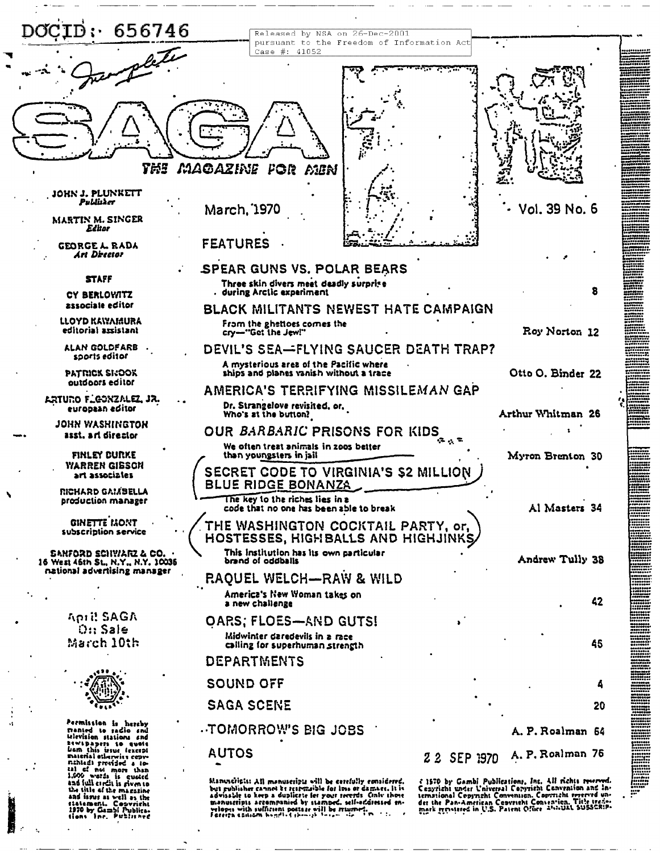| DOCID:<br>656746                                                                              | Released by NSA on 26-Dec-2001<br>pursuant to the Freedom of Information Act                                                                                                                                                                                                                                                                             |                                                                                |
|-----------------------------------------------------------------------------------------------|----------------------------------------------------------------------------------------------------------------------------------------------------------------------------------------------------------------------------------------------------------------------------------------------------------------------------------------------------------|--------------------------------------------------------------------------------|
|                                                                                               | Case #: 41052                                                                                                                                                                                                                                                                                                                                            |                                                                                |
|                                                                                               |                                                                                                                                                                                                                                                                                                                                                          |                                                                                |
|                                                                                               |                                                                                                                                                                                                                                                                                                                                                          |                                                                                |
|                                                                                               |                                                                                                                                                                                                                                                                                                                                                          |                                                                                |
|                                                                                               |                                                                                                                                                                                                                                                                                                                                                          |                                                                                |
|                                                                                               |                                                                                                                                                                                                                                                                                                                                                          |                                                                                |
| TMI                                                                                           | MAGAZINE FOR<br>AIEN                                                                                                                                                                                                                                                                                                                                     |                                                                                |
| JOHN J. PLUNKETT<br>Publisker                                                                 |                                                                                                                                                                                                                                                                                                                                                          |                                                                                |
| MARTIN M. SINGER                                                                              | Vol. 39 No. 6<br>March, 1970                                                                                                                                                                                                                                                                                                                             |                                                                                |
| Editor<br><b>GEORGE L. RADA</b>                                                               | <b>FEATURES</b>                                                                                                                                                                                                                                                                                                                                          |                                                                                |
| Art Director                                                                                  |                                                                                                                                                                                                                                                                                                                                                          |                                                                                |
| <b>STAFF</b>                                                                                  | SPEAR GUNS VS. POLAR BEARS<br>Three skin divers meet deadly surprise                                                                                                                                                                                                                                                                                     |                                                                                |
| CY BERLOVATZ<br>associale editor                                                              | 8<br>. during Arctic experiment                                                                                                                                                                                                                                                                                                                          |                                                                                |
| LLOYD KAWAMURA                                                                                | <b>BLACK MILITANTS NEWEST HATE CAMPAIGN</b><br>From the ghettoes comes the                                                                                                                                                                                                                                                                               |                                                                                |
| editorial assistant<br>ALAN GOLDFARB                                                          | Roy Norton 12<br>cry--"Get the Jew!"                                                                                                                                                                                                                                                                                                                     |                                                                                |
| sports editor                                                                                 | DEVIL'S SEA—FLYING SAUCER DEATH TRAP?<br>A mysterious area of the Pacific where                                                                                                                                                                                                                                                                          |                                                                                |
| <b>PATRICK SKOOK</b><br>outdoors editor                                                       | ships and planes vanish without a trace<br>Otto O. Binder 22                                                                                                                                                                                                                                                                                             |                                                                                |
| ARTURO FLOONZALEZ, JR.<br>european editor                                                     | AMERICA'S TERRIFYING MISSILEMAN GAP<br>Dr. Strangelove revisited, or,                                                                                                                                                                                                                                                                                    |                                                                                |
| <b>JOHN WASHINGTON</b>                                                                        | Arthur Whitman 26<br>Who's at the button?                                                                                                                                                                                                                                                                                                                |                                                                                |
| asst. art director                                                                            | OUR BARBARIC PRISONS FOR KIDS<br>We often treat animals in 2005 better                                                                                                                                                                                                                                                                                   |                                                                                |
| FINLEY CURKE<br><b><i>YARREN GIBSON</i></b>                                                   | than youngsters in jail<br>Myron Brenton 30                                                                                                                                                                                                                                                                                                              |                                                                                |
| art associates                                                                                | SECRET CODE TO VIRGINIA'S \$2 MILLION<br><b>BLUE RIDGE BONANZA</b>                                                                                                                                                                                                                                                                                       |                                                                                |
| RICHARD GAMSELLA<br>production manager                                                        | The key to the riches lies in a<br>Al Masters 34<br>code that no one has been able to break                                                                                                                                                                                                                                                              |                                                                                |
| <b>GINETTE IMONT</b>                                                                          | THE WASHINGTON COCKTAIL PARTY, or,                                                                                                                                                                                                                                                                                                                       |                                                                                |
| subscription service                                                                          | HOSTESSES, HIGHBALLS AND HIGHJINKS                                                                                                                                                                                                                                                                                                                       | ,,,,,,,                                                                        |
| sanford schwarz & CO. .<br>16 West 46th St., N.Y., N.Y. 10036<br>national advertising manager | This institution has its own particular<br>Andrew Tully 38<br>brand of oddballs                                                                                                                                                                                                                                                                          |                                                                                |
|                                                                                               | RAQUEL WELCH-RAW & WILD                                                                                                                                                                                                                                                                                                                                  |                                                                                |
|                                                                                               | America's New Woman takes on<br>42<br>a new challenge                                                                                                                                                                                                                                                                                                    | <br><br>********<br>********                                                   |
| <b>April SAGA</b><br>$0:$ : Sale                                                              | OARS; FLOES-AND GUTS!                                                                                                                                                                                                                                                                                                                                    | <br>  0000000<br>  0000000<br>  00000000<br>--------<br>--------               |
| March 10th                                                                                    | Midwinter daredevils in a race<br>45<br>calling for superhuman strength                                                                                                                                                                                                                                                                                  | <br><br>--------<br>********                                                   |
|                                                                                               | DEPARTMENTS                                                                                                                                                                                                                                                                                                                                              | ogabósso<br>19020011<br>10010012                                               |
|                                                                                               | <b>SOUND OFF</b>                                                                                                                                                                                                                                                                                                                                         |                                                                                |
|                                                                                               | <b>SAGA SCENE</b><br>20                                                                                                                                                                                                                                                                                                                                  | 20010000<br>20020000                                                           |
| Permission is hereby<br><b>Tranted</b> to radio and                                           | TOMORROW'S BIG JOBS<br>A. P. Roalman 64                                                                                                                                                                                                                                                                                                                  |                                                                                |
| television stations and<br><b>ESWEDADETS SO QUOSE</b><br>bem this issue fexcept               | <b>AUTOS</b><br>A. P. Roalman 76                                                                                                                                                                                                                                                                                                                         | 1980000<br>14121000<br>1980000<br>000000000000000000<br> }4555551<br> }5555555 |
| Euterial otlerwitz cepy-<br>nihled) previded a lo-<br>tal of not more than                    | 22 SEP 1970                                                                                                                                                                                                                                                                                                                                              |                                                                                |
| 1.600 weter is quested<br>and full circli is riven to<br>the title of the magazine            | Manuscripts: All manuscripts will be cerefully considered.<br>i 1570 by Gambi Publications, Inc. All richts reverved.<br>Cenyricht under Universal Convertibit Convention and in-<br>bet publisher cannot be respectible for loss or damage. It is                                                                                                       | ₩.                                                                             |
| and issue as well as the<br>i.<br>statement. Copyricht<br>1970 by Gambi Publica-              | ternational Copyright Convention. Copyright reserved un-<br>advisable to keep a duplicate for your recercis. Craft those<br>der the Pan-American Convertebration. Title trade-<br>mark gynstered in U.S. Patent Office 455-0144 SUSSCRIP-<br>menutcripts accompanied by stamped, self-eddressed en-<br>velopes with sufficient pottage will be returned. |                                                                                |
|                                                                                               | Fereizh ezitiom homeli e chinich forum stall fin                                                                                                                                                                                                                                                                                                         |                                                                                |
|                                                                                               |                                                                                                                                                                                                                                                                                                                                                          |                                                                                |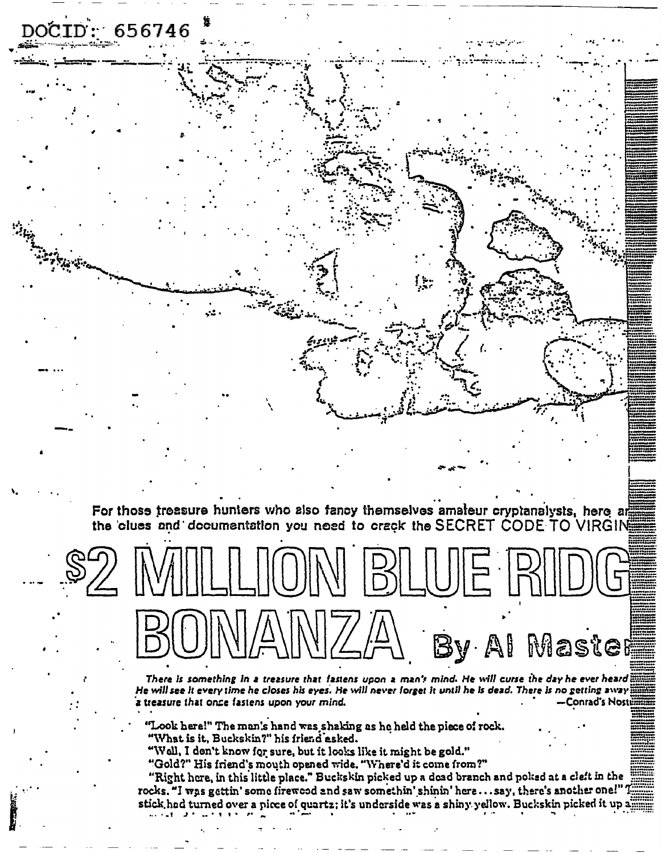For those treasure hunters who also fancy themselves amaleur cryptanalysts, here are the 'clues and 'documentation you need to crack the SECRET CODE TO VIRGIN



 $656746$ 

By Al Master

There is something in a treasure that fastens upon a man's mind. He will curse the day he ever heard  $\dddot{\vec{x}}$ He will see it every time he closes his eyes. He will never forget it until he is dead. There is no getting away a treasure that once fastens upon your mind. Conrad's Noste

"Look here!" The man's hand was shaking as he held the piece of rock. "What is it, Buckskin?" his friend asked.

"Well, I don't know for sure, but it looks like it might be gold."

"Gold?" His friend's mouth opened wide. "Where'd it come from?"

"Right here, in this little place." Buckskin picked up a dead branch and poked at a cleft in the rocks. "I was gettin' some firewood and saw somethin' shinin' here...say, there's another one!"' stick, had turned over a picce of quartz; it's underside was a shiny yellow. Buckskin picked it up a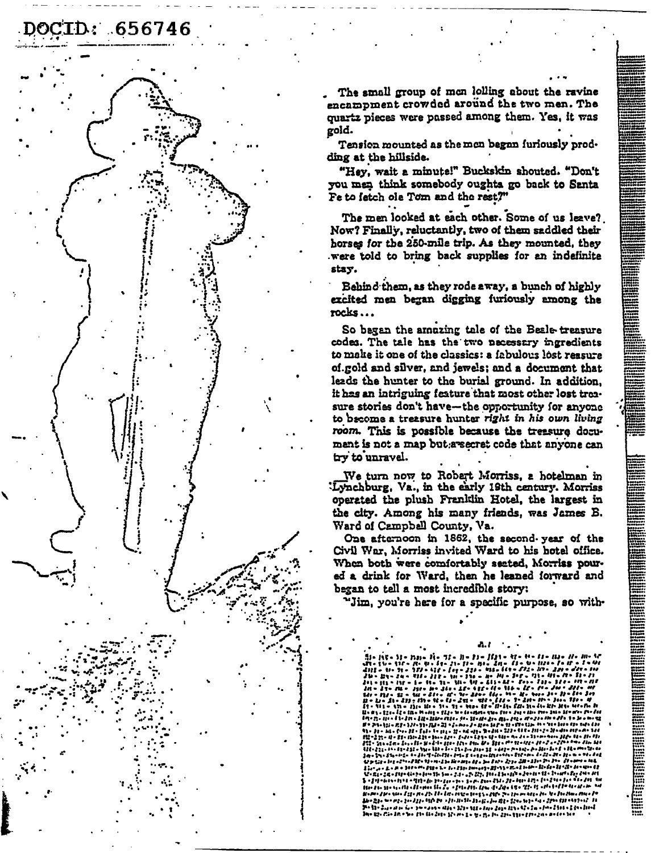## 00CID: 656746

The small group of men lolling about the ravine encampment crowded around the two men. The quartz pieces were passed among them. Yes, it was gold.

Tension mounted as the mon began furiously prodding at the hillside.

"Hev. wait a minute!" Buckskin shouted. "Don't you men think somebody oughts go back to Santa Fe to fatch ole Tom and the rest?"

The men looked at each other. Some of us leave? Now? Finally, reluctantly, two of them saddled their horses for the 250-mile trip. As they mounted, they were told to bring back supplies for an indefinite stay.

Behind them, as they rode away, a bunch of highly excited men began digging furiously among the  $rocks...$ 

So began the amazing tale of the Beale-treasure codes. The tale has the two necessary ingredients to make it one of the classics: a fabulous lost reasure of.gold and silver, and jewels; and a document that leads the hunter to the burial ground. In addition, it has an intriguing feature that most other lost treasure stories don't have-the opportunity for anyone to become a treasure hunter right in his own living room. This is possible because the treesure document is not a map but a secret code that anyone can try to unravel.

We turn now to Robert Morriss, a hotelman in Lynchburg, Va., in the early 19th century. Morriss operated the plush Franklin Hotel, the largest in the city. Among his many friends, was James B. Ward of Campbell County, Va.

One afternoon in 1862, the second year of the Civil War, Morriss invited Ward to his hotel office. When both were comfortably sected, Morriss poured a drink for Ward, then he leaned forward and began to tell a most incredible story:

"Jim, you're here for a specific purpose, so with-

A. I | Viel 112 = 70 = 10 = 14 = 21 = 21 = 21<br>|- 12 = 71 = 722 = 422 = 124 = 222 = - 150  $11.11$  $24 - 111 - 111$ - n. M - 1 - 5 - 91 - 41 - 6<br>- 11 - 11 - 12 - 13 - 14 - $\begin{array}{l} \mu\sqrt{1+2\pi} = \sqrt{1+2\pi} \sqrt{1+2\pi} \sqrt{1+2\pi} \sqrt{1+2\pi} \sqrt{1+2\pi} \sqrt{1+2\pi} \sqrt{1+2\pi} \sqrt{1+2\pi} \sqrt{1+2\pi} \sqrt{1+2\pi} \sqrt{1+2\pi} \sqrt{1+2\pi} \sqrt{1+2\pi} \sqrt{1+2\pi} \sqrt{1+2\pi} \sqrt{1+2\pi} \sqrt{1+2\pi} \sqrt{1+2\pi} \sqrt{1+2\pi} \sqrt{1+2\pi} \sqrt{1+2\pi} \sqrt{1+2\pi} \sqrt{$ **TIL**  $173 - 131 - 100$ hein. in where the state of the state of the state of the state of the state of the state of the state of the state o .<br>13 - Digwadau Kuni (1999-1994) - 1994 - 1995 - 1999- 1999- 1999- 1999- 1999- 1999- 1999- 1999- 1999- 1999- 19<br>1912 - Clim Actor Paris (1999-1999- 1999- 1999- 1999- 1999- 1999- 1999- 1999- 1999- 1999- 1999- 1999- 1999- 1